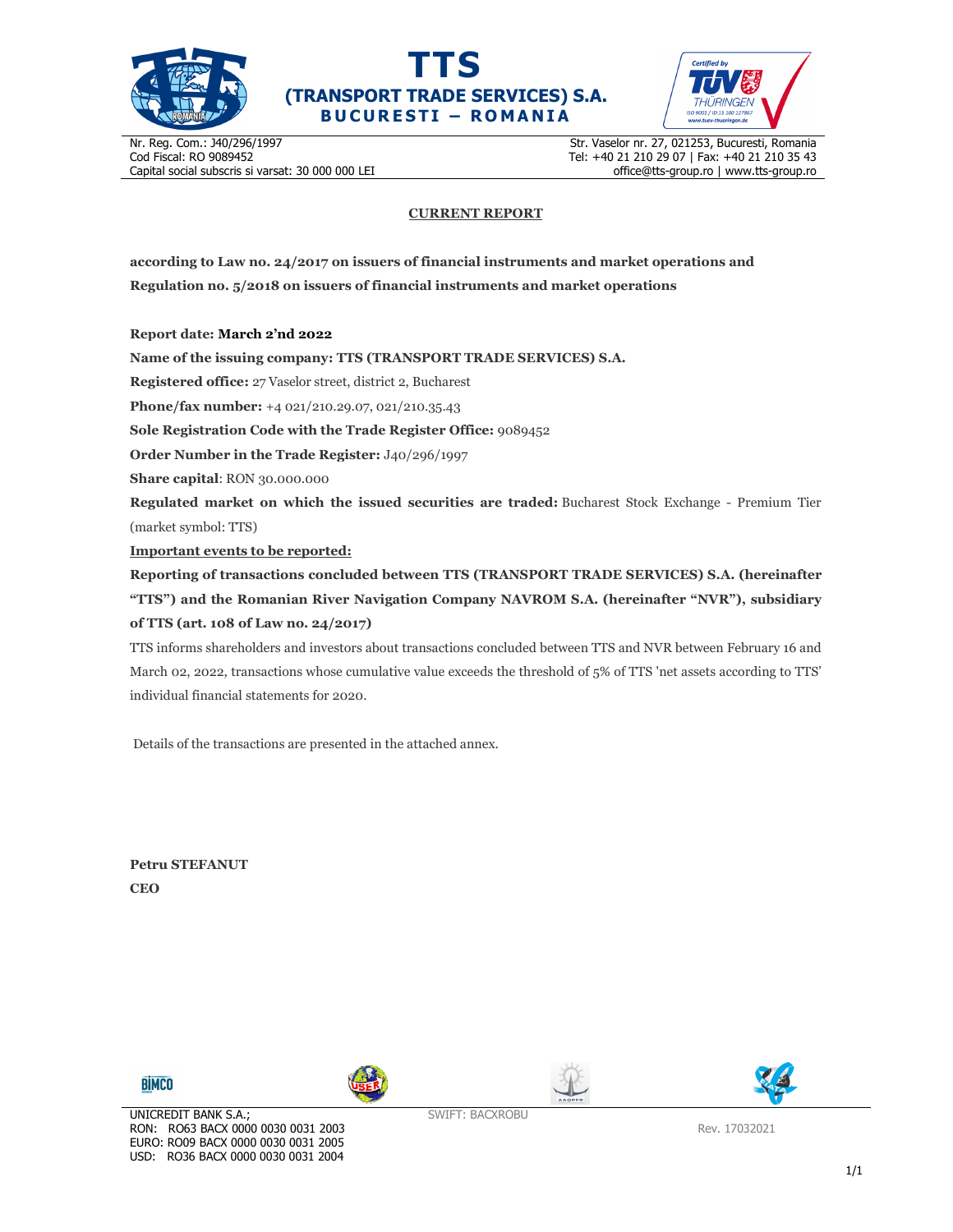





Nr. Reg. Com.: J40/296/1997 Cod Fiscal: RO 9089452 Capital social subscris si varsat: 30 000 000 LEI Str. Vaselor nr. 27, 021253, Bucuresti, Romania Tel: +40 21 210 29 07 | Fax: +40 21 210 35 43 office@tts-group.ro | www.tts-group.ro

## **CURRENT REPORT**

**according to Law no. 24/2017 on issuers of financial instruments and market operations and Regulation no. 5/2018 on issuers of financial instruments and market operations** 

**Report date: March 2'nd 2022**

**Name of the issuing company: TTS (TRANSPORT TRADE SERVICES) S.A.**

**Registered office:** 27 Vaselor street, district 2, Bucharest

**Phone/fax number:** +4 021/210.29.07, 021/210.35.43

**Sole Registration Code with the Trade Register Office:** 9089452

**Order Number in the Trade Register:** J40/296/1997

**Share capital**: RON 30.000.000

**Regulated market on which the issued securities are traded:** Bucharest Stock Exchange - Premium Tier (market symbol: TTS)

**Important events to be reported:**

**Reporting of transactions concluded between TTS (TRANSPORT TRADE SERVICES) S.A. (hereinafter "TTS") and the Romanian River Navigation Company NAVROM S.A. (hereinafter "NVR"), subsidiary of TTS (art. 108 of Law no. 24/2017)** 

TTS informs shareholders and investors about transactions concluded between TTS and NVR between February 16 and March 02, 2022, transactions whose cumulative value exceeds the threshold of 5% of TTS 'net assets according to TTS' individual financial statements for 2020.

Details of the transactions are presented in the attached annex.

**Petru STEFANUT CEO** 









SWIFT: BACXROBU

Rev. 17032021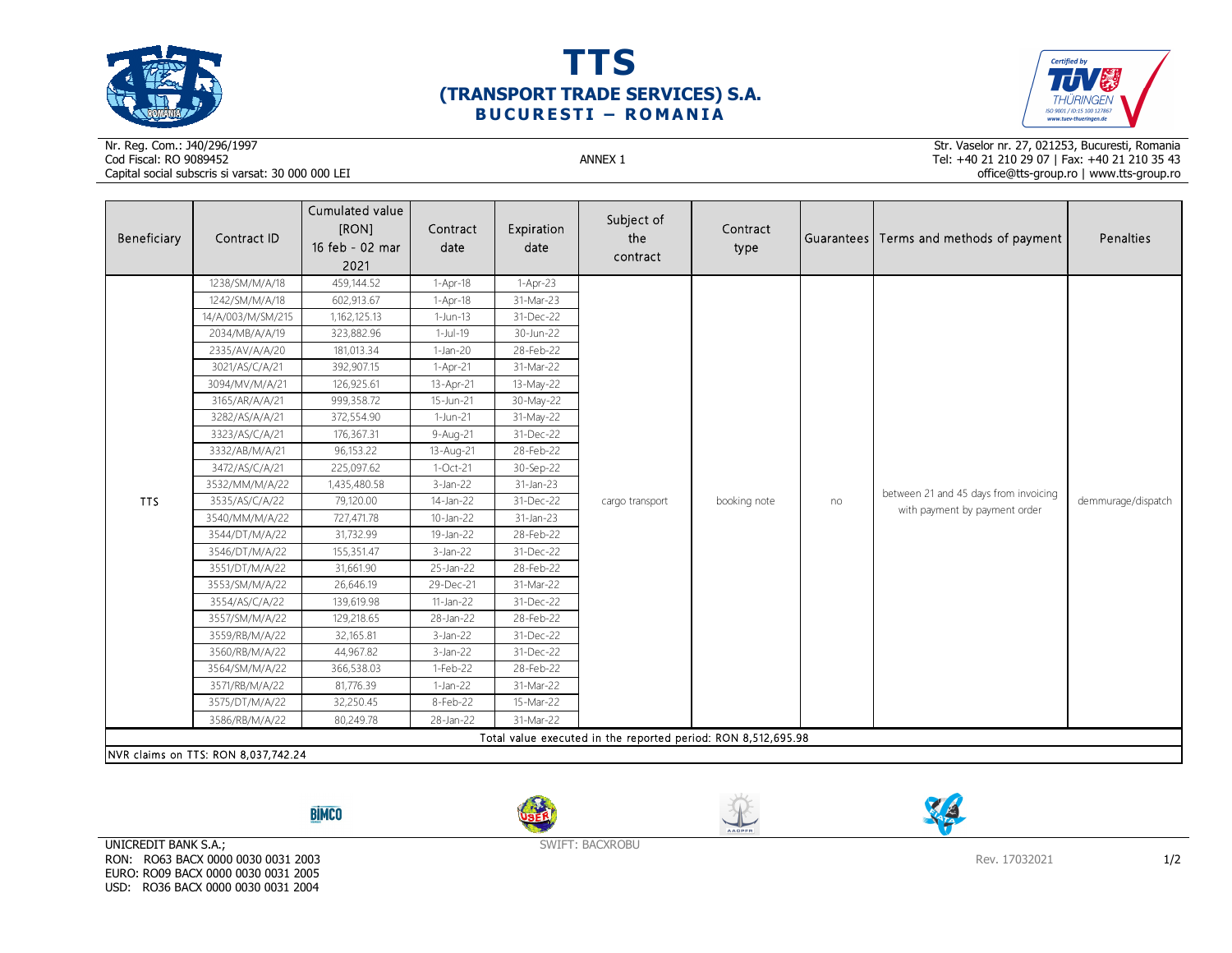





## Nr. Reg. Com.: J40/296/1997Cod Fiscal: RO 9089452 ANNEX 1 Capital social subscris si varsat: 30 000 000 LEI

Str. Vaselor nr. 27, 021253, Bucuresti, Romania Tel: +40 21 210 29 07 | Fax: +40 21 210 35 43 office@tts-group.ro | www.tts-group.ro

| Beneficiary                                                                                          | Contract ID       | Cumulated value<br>[RON]<br>16 feb - 02 mar<br>2021 | Contract<br>date | Expiration<br>date | Subject of<br>the<br>contract | Contract<br>type |    | Guarantees Terms and methods of payment                                | Penalties          |  |  |
|------------------------------------------------------------------------------------------------------|-------------------|-----------------------------------------------------|------------------|--------------------|-------------------------------|------------------|----|------------------------------------------------------------------------|--------------------|--|--|
|                                                                                                      | 1238/SM/M/A/18    | 459,144.52                                          | 1-Apr-18         | $1-Apr-23$         |                               |                  | no | between 21 and 45 days from invoicing<br>with payment by payment order | demmurage/dispatch |  |  |
|                                                                                                      | 1242/SM/M/A/18    | 602,913.67                                          | $1-Apr-18$       | 31-Mar-23          |                               |                  |    |                                                                        |                    |  |  |
|                                                                                                      | 14/A/003/M/SM/215 | 1,162,125.13                                        | $1-Jun-13$       | 31-Dec-22          |                               |                  |    |                                                                        |                    |  |  |
|                                                                                                      | 2034/MB/A/A/19    | 323,882.96                                          | $1-Jul-19$       | 30-Jun-22          |                               |                  |    |                                                                        |                    |  |  |
|                                                                                                      | 2335/AV/A/A/20    | 181,013.34                                          | $1-Jan-20$       | 28-Feb-22          |                               |                  |    |                                                                        |                    |  |  |
|                                                                                                      | 3021/AS/C/A/21    | 392,907.15                                          | $1-Apr-21$       | 31-Mar-22          |                               |                  |    |                                                                        |                    |  |  |
|                                                                                                      | 3094/MV/M/A/21    | 126,925.61                                          | 13-Apr-21        | 13-May-22          |                               |                  |    |                                                                        |                    |  |  |
|                                                                                                      | 3165/AR/A/A/21    | 999,358.72                                          | 15-Jun-21        | 30-May-22          |                               |                  |    |                                                                        |                    |  |  |
|                                                                                                      | 3282/AS/A/A/21    | 372,554.90                                          | 1-Jun-21         | 31-May-22          |                               |                  |    |                                                                        |                    |  |  |
|                                                                                                      | 3323/AS/C/A/21    | 176,367.31                                          | 9-Aug-21         | 31-Dec-22          |                               |                  |    |                                                                        |                    |  |  |
|                                                                                                      | 3332/AB/M/A/21    | 96,153.22                                           | 13-Aug-21        | 28-Feb-22          | cargo transport               | booking note     |    |                                                                        |                    |  |  |
| <b>TTS</b>                                                                                           | 3472/AS/C/A/21    | 225,097.62                                          | $1-Oct-21$       | 30-Sep-22          |                               |                  |    |                                                                        |                    |  |  |
|                                                                                                      | 3532/MM/M/A/22    | 1,435,480.58                                        | $3$ -Jan-22      | 31-Jan-23          |                               |                  |    |                                                                        |                    |  |  |
|                                                                                                      | 3535/AS/C/A/22    | 79,120.00                                           | 14-Jan-22        | 31-Dec-22          |                               |                  |    |                                                                        |                    |  |  |
|                                                                                                      | 3540/MM/M/A/22    | 727,471.78                                          | 10-Jan-22        | 31-Jan-23          |                               |                  |    |                                                                        |                    |  |  |
|                                                                                                      | 3544/DT/M/A/22    | 31,732.99                                           | 19-Jan-22        | 28-Feb-22          |                               |                  |    |                                                                        |                    |  |  |
|                                                                                                      | 3546/DT/M/A/22    | 155,351.47                                          | $3$ -Jan-22      | 31-Dec-22          |                               |                  |    |                                                                        |                    |  |  |
|                                                                                                      | 3551/DT/M/A/22    | 31,661.90                                           | 25-Jan-22        | 28-Feb-22          |                               |                  |    |                                                                        |                    |  |  |
|                                                                                                      | 3553/SM/M/A/22    | 26,646.19                                           | 29-Dec-21        | 31-Mar-22          |                               |                  |    |                                                                        |                    |  |  |
|                                                                                                      | 3554/AS/C/A/22    | 139,619.98                                          | 11-Jan-22        | 31-Dec-22          |                               |                  |    |                                                                        |                    |  |  |
|                                                                                                      | 3557/SM/M/A/22    | 129,218.65                                          | 28-Jan-22        | 28-Feb-22          |                               |                  |    |                                                                        |                    |  |  |
|                                                                                                      | 3559/RB/M/A/22    | 32,165.81                                           | $3$ -Jan-22      | 31-Dec-22          |                               |                  |    |                                                                        |                    |  |  |
|                                                                                                      | 3560/RB/M/A/22    | 44,967.82                                           | $3$ -Jan-22      | 31-Dec-22          |                               |                  |    |                                                                        |                    |  |  |
|                                                                                                      | 3564/SM/M/A/22    | 366,538.03                                          | 1-Feb-22         | 28-Feb-22          |                               |                  |    |                                                                        |                    |  |  |
|                                                                                                      | 3571/RB/M/A/22    | 81,776.39                                           | $1-Jan-22$       | 31-Mar-22          |                               |                  |    |                                                                        |                    |  |  |
|                                                                                                      | 3575/DT/M/A/22    | 32,250.45                                           | 8-Feb-22         | 15-Mar-22          |                               |                  |    |                                                                        |                    |  |  |
|                                                                                                      | 3586/RB/M/A/22    | 80,249.78                                           | 28-Jan-22        | 31-Mar-22          |                               |                  |    |                                                                        |                    |  |  |
| Total value executed in the reported period: RON 8,512,695.98<br>NVR claims on TTS: RON 8,037,742.24 |                   |                                                     |                  |                    |                               |                  |    |                                                                        |                    |  |  |

**BİMCO** 







UNICREDIT BANK S.A.; RON: RO63 BACX 0000 0030 0031 2003 EURO: RO09 BACX 0000 0030 0031 2005 USD: RO36 BACX 0000 0030 0031 2004

SWIFT: BACXROBU